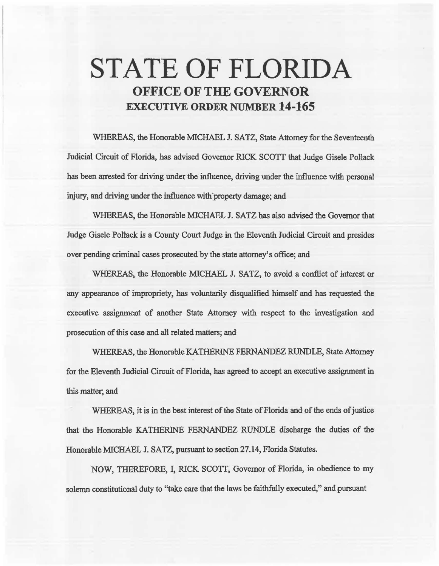# STATE OF FLORIDA OFFICE OF THE GOVERNOR EXECUTIVE ORDER NUMBER 14-165

WHEREAS, the Honorable MICHAEL J. SATZ, State Attorney for the Seventeenth Judicial Circuit of Florida, has advised Governor RICK *SCOTT* that Judge Gisele Pollack has been arrested for driving under the influence, driving under the influence with personal injury, and driving under the influence with property damage; and

WHEREAS, the Honorable MICHAEL J. SATZ has also advised the Governor that Judge Gisele Pollack is a County Court Judge in the Eleventh Judicial Circuit and presides over pending criminal cases prosecuted by the state attorney's office; and

WHEREAS, the Honorable MICHAEL J. SATZ, to avoid a conflict of interest or any appearance of impropriety, has voluntarily disqualified himself and has requested the executive assignment of another State Attorney with respect to the investigation and prosecution of this case and ali related matters; and

WHEREAS, the Honorable KATHERINE FERNANDEZ RUNDLE, State Attorney for the Eleventh Judicial Circuit of Florida, has agreed to accept an executive assignment in this matter; and

WHEREAS, it is in the best interest of the State of Florida and of the ends of justice that the Honorable KATHERINE FERNANDEZ RUNDLE discharge the duties of the Honorable MICHAEL J. SATZ, pursuant to section 27.14, Florida Statutes.

NOW, THEREFORE, I, RICK *SCOTT,* Governor of Florida, in obedience to my solemn constitutional duty to "take care that the laws be faithfully executed," and pursuant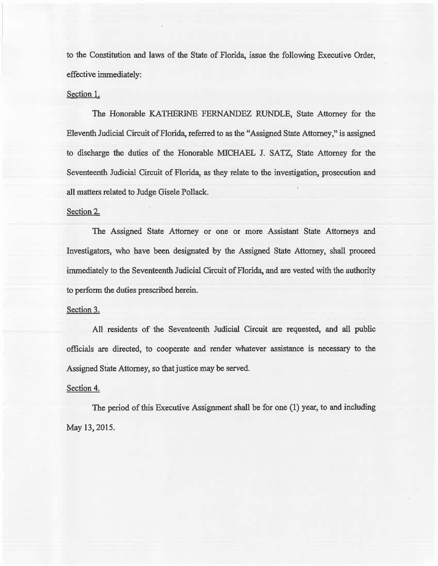to the Constitution and laws of the State of Florida, issue the following Executive Order, effective immediately:

# Section l.

The Honorable KATHERINE FERNANDEZ RUNDLE, State Attorney for the Eleventh Judicial Circuit of Florida, referred to as the "Assigned State Attorney," is assigned to discharge the duties of the Honorable MICHAEL J. SATZ, State Attorney for the Seventeenth Judicial Circuit of Florida, as they reiate to the investigation, prosecution and all matters related to Judge Gisele Pollack.

### Section 2.

The Assigned State Attorney or one or more Assistant State Attorneys and Investigators, who have been designated by the Assigned State Attorney, shall proceed immediately to the Seventeenth Judicial Circuit of Florida, and are vested with the authority to perform the duties prescribed herein.

#### Section 3.

AH residents of the Seventeenth Judicial Circuit are requested, and all public officials are directed, to cooperate and render whatever assistance is necessary to the Assigned State Attorney, so that justice may be served.

## Section 4.

The period of this Executive Assignment shall be for one (1) year, to and including May 13, 2015.